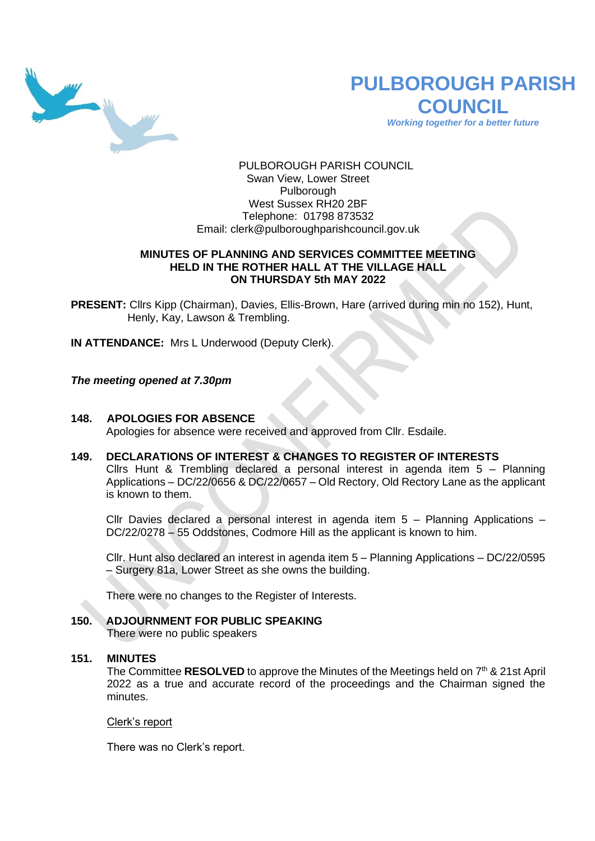

# **PULBOROUGH PARISH COUNCIL**

*Working together for a better future*

PULBOROUGH PARISH COUNCIL Swan View, Lower Street Pulborough West Sussex RH20 2BF Telephone: 01798 873532 Email: [clerk@pulboroughparishcouncil.gov.uk](mailto:clerk@pulboroughparishcouncil.gov.uk)

# **MINUTES OF PLANNING AND SERVICES COMMITTEE MEETING HELD IN THE ROTHER HALL AT THE VILLAGE HALL ON THURSDAY 5th MAY 2022**

**PRESENT:** Cllrs Kipp (Chairman), Davies, Ellis-Brown, Hare (arrived during min no 152), Hunt, Henly, Kay, Lawson & Trembling.

**IN ATTENDANCE:** Mrs L Underwood (Deputy Clerk).

*The meeting opened at 7.30pm*

# **148. APOLOGIES FOR ABSENCE**

Apologies for absence were received and approved from Cllr. Esdaile.

# **149. DECLARATIONS OF INTEREST & CHANGES TO REGISTER OF INTERESTS**

Cllrs Hunt & Trembling declared a personal interest in agenda item 5 – Planning Applications – DC/22/0656 & DC/22/0657 – Old Rectory, Old Rectory Lane as the applicant is known to them.

Cllr Davies declared a personal interest in agenda item 5 – Planning Applications – DC/22/0278 – 55 Oddstones, Codmore Hill as the applicant is known to him.

Cllr. Hunt also declared an interest in agenda item 5 – Planning Applications – DC/22/0595 – Surgery 81a, Lower Street as she owns the building.

There were no changes to the Register of Interests.

# **150. ADJOURNMENT FOR PUBLIC SPEAKING**

There were no public speakers

#### **151. MINUTES**

The Committee RESOLVED to approve the Minutes of the Meetings held on 7<sup>th</sup> & 21st April 2022 as a true and accurate record of the proceedings and the Chairman signed the minutes.

#### Clerk's report

There was no Clerk's report.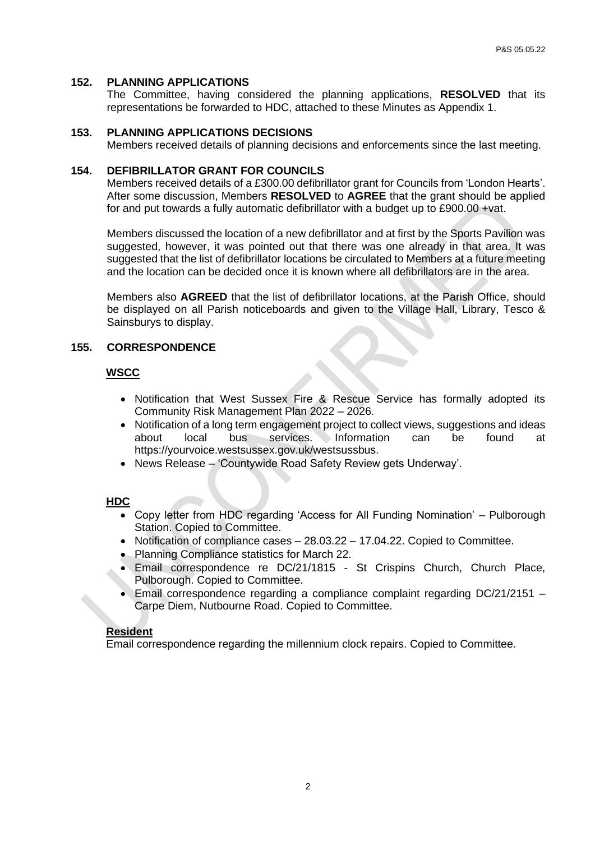#### **152. PLANNING APPLICATIONS**

The Committee, having considered the planning applications, **RESOLVED** that its representations be forwarded to HDC, attached to these Minutes as Appendix 1.

#### **153. PLANNING APPLICATIONS DECISIONS**

Members received details of planning decisions and enforcements since the last meeting.

#### **154. DEFIBRILLATOR GRANT FOR COUNCILS**

Members received details of a £300.00 defibrillator grant for Councils from 'London Hearts'. After some discussion, Members **RESOLVED** to **AGREE** that the grant should be applied for and put towards a fully automatic defibrillator with a budget up to £900.00 +vat.

Members discussed the location of a new defibrillator and at first by the Sports Pavilion was suggested, however, it was pointed out that there was one already in that area. It was suggested that the list of defibrillator locations be circulated to Members at a future meeting and the location can be decided once it is known where all defibrillators are in the area.

Members also **AGREED** that the list of defibrillator locations, at the Parish Office, should be displayed on all Parish noticeboards and given to the Village Hall, Library, Tesco & Sainsburys to display.

#### **155. CORRESPONDENCE**

#### **WSCC**

- Notification that West Sussex Fire & Rescue Service has formally adopted its Community Risk Management Plan 2022 – 2026.
- Notification of a long term engagement project to collect views, suggestions and ideas about local bus services. Information can be found at https://yourvoice.westsussex.gov.uk/westsussbus.
- News Release 'Countywide Road Safety Review gets Underway'.

#### **HDC**

- Copy letter from HDC regarding 'Access for All Funding Nomination' Pulborough Station. Copied to Committee.
- Notification of compliance cases 28.03.22 17.04.22. Copied to Committee.
- Planning Compliance statistics for March 22.
- Email correspondence re DC/21/1815 St Crispins Church, Church Place, Pulborough. Copied to Committee.
- Email correspondence regarding a compliance complaint regarding DC/21/2151 Carpe Diem, Nutbourne Road. Copied to Committee.

#### **Resident**

Email correspondence regarding the millennium clock repairs. Copied to Committee.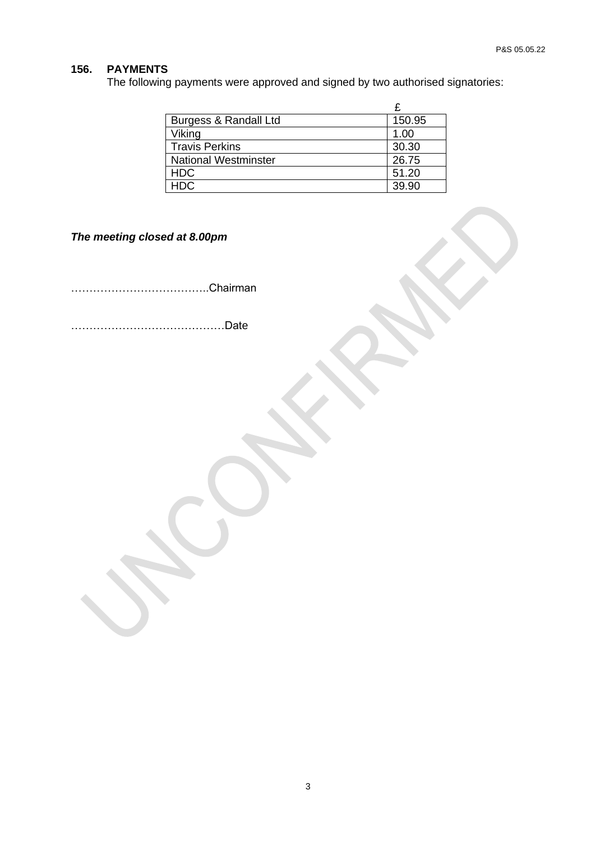# **156. PAYMENTS**

The following payments were approved and signed by two authorised signatories:

| Burgess & Randall Ltd       | 150.95 |
|-----------------------------|--------|
| Viking                      | 1.00   |
| <b>Travis Perkins</b>       | 30.30  |
| <b>National Westminster</b> | 26.75  |
| <b>HDC</b>                  | 51.20  |
| HDC                         | 39.90  |

*The meeting closed at 8.00pm*

………………………………..Chairman

……………………………………Date